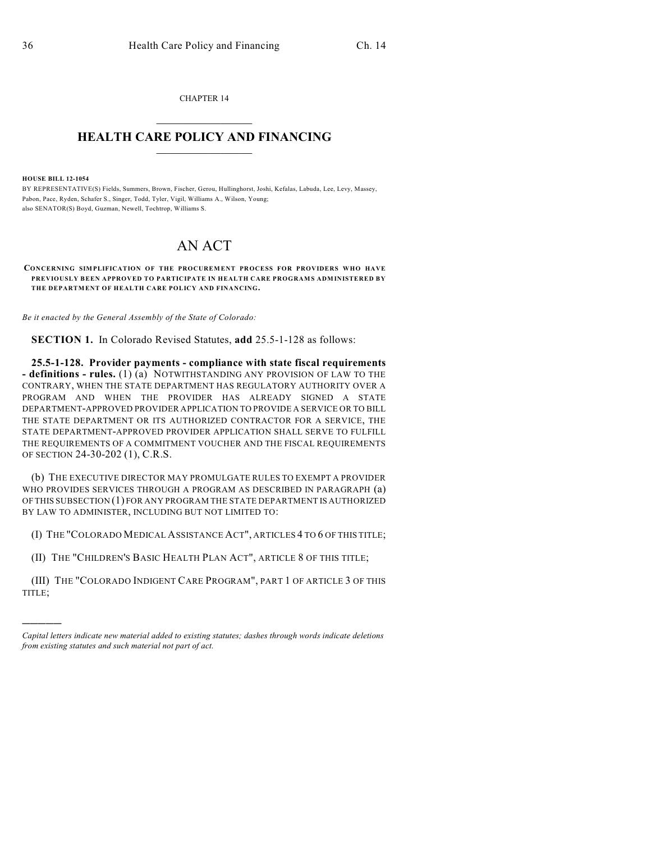CHAPTER 14  $\mathcal{L}_\text{max}$  . The set of the set of the set of the set of the set of the set of the set of the set of the set of the set of the set of the set of the set of the set of the set of the set of the set of the set of the set

## **HEALTH CARE POLICY AND FINANCING**  $\_$   $\_$   $\_$   $\_$   $\_$   $\_$   $\_$   $\_$

**HOUSE BILL 12-1054**

)))))

BY REPRESENTATIVE(S) Fields, Summers, Brown, Fischer, Gerou, Hullinghorst, Joshi, Kefalas, Labuda, Lee, Levy, Massey, Pabon, Pace, Ryden, Schafer S., Singer, Todd, Tyler, Vigil, Williams A., Wilson, Young; also SENATOR(S) Boyd, Guzman, Newell, Tochtrop, Williams S.

## AN ACT

**CONCERNING SIMPLIFICATION OF THE PROCUREMENT PROCESS FOR PROVIDERS WHO HAVE PREVIOUSLY BEEN APPROVED TO PARTICIPATE IN HEALTH CARE PROGRAMS ADMINISTERED BY THE DEPARTMENT OF HEALTH CARE POLICY AND FINANCING.**

*Be it enacted by the General Assembly of the State of Colorado:*

**SECTION 1.** In Colorado Revised Statutes, **add** 25.5-1-128 as follows:

**25.5-1-128. Provider payments - compliance with state fiscal requirements - definitions - rules.** (1) (a) NOTWITHSTANDING ANY PROVISION OF LAW TO THE CONTRARY, WHEN THE STATE DEPARTMENT HAS REGULATORY AUTHORITY OVER A PROGRAM AND WHEN THE PROVIDER HAS ALREADY SIGNED A STATE DEPARTMENT-APPROVED PROVIDER APPLICATION TO PROVIDE A SERVICE OR TO BILL THE STATE DEPARTMENT OR ITS AUTHORIZED CONTRACTOR FOR A SERVICE, THE STATE DEPARTMENT-APPROVED PROVIDER APPLICATION SHALL SERVE TO FULFILL THE REQUIREMENTS OF A COMMITMENT VOUCHER AND THE FISCAL REQUIREMENTS OF SECTION 24-30-202 (1), C.R.S.

(b) THE EXECUTIVE DIRECTOR MAY PROMULGATE RULES TO EXEMPT A PROVIDER WHO PROVIDES SERVICES THROUGH A PROGRAM AS DESCRIBED IN PARAGRAPH (a) OF THIS SUBSECTION (1) FOR ANY PROGRAM THE STATE DEPARTMENT IS AUTHORIZED BY LAW TO ADMINISTER, INCLUDING BUT NOT LIMITED TO:

(I) THE "COLORADO MEDICAL ASSISTANCE ACT", ARTICLES 4 TO 6 OF THIS TITLE;

(II) THE "CHILDREN'S BASIC HEALTH PLAN ACT", ARTICLE 8 OF THIS TITLE;

(III) THE "COLORADO INDIGENT CARE PROGRAM", PART 1 OF ARTICLE 3 OF THIS TITLE;

*Capital letters indicate new material added to existing statutes; dashes through words indicate deletions from existing statutes and such material not part of act.*